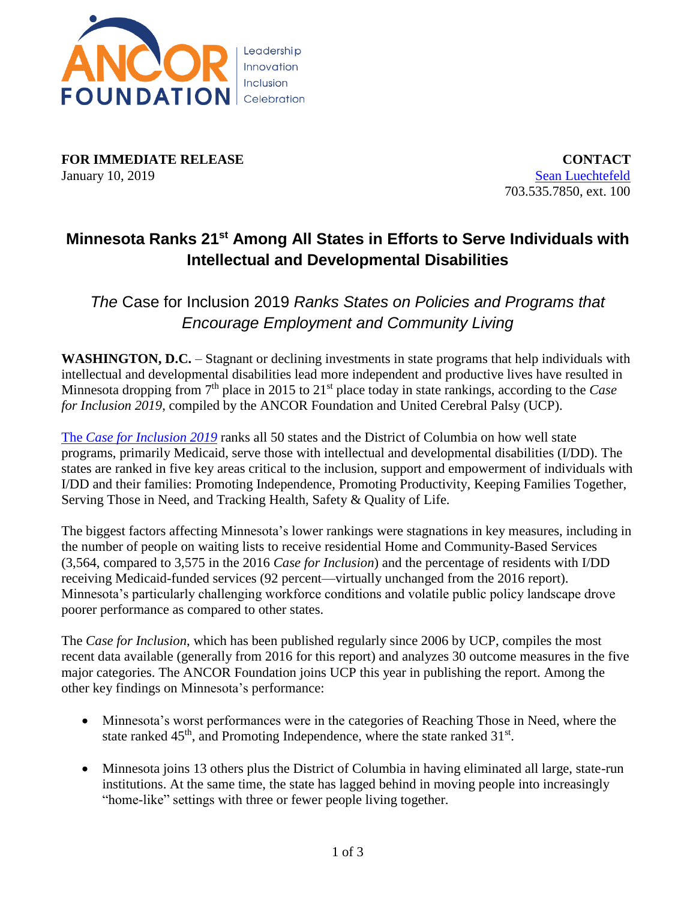

**FOR IMMEDIATE RELEASE CONTACT** January 10, 2019 [Sean Luechtefeld](mailto:sluechtefeld@ancor.org)

703.535.7850, ext. 100

## **Minnesota Ranks 21st Among All States in Efforts to Serve Individuals with Intellectual and Developmental Disabilities**

*The* Case for Inclusion 2019 *Ranks States on Policies and Programs that Encourage Employment and Community Living*

**WASHINGTON, D.C.** – Stagnant or declining investments in state programs that help individuals with intellectual and developmental disabilities lead more independent and productive lives have resulted in Minnesota dropping from 7<sup>th</sup> place in 2015 to 21<sup>st</sup> place today in state rankings, according to the *Case for Inclusion 2019*, compiled by the ANCOR Foundation and United Cerebral Palsy (UCP).

The *[Case for Inclusion 2019](http://caseforinclusion.org/)* ranks all 50 states and the District of Columbia on how well state programs, primarily Medicaid, serve those with intellectual and developmental disabilities (I/DD). The states are ranked in five key areas critical to the inclusion, support and empowerment of individuals with I/DD and their families: Promoting Independence, Promoting Productivity, Keeping Families Together, Serving Those in Need, and Tracking Health, Safety & Quality of Life.

The biggest factors affecting Minnesota's lower rankings were stagnations in key measures, including in the number of people on waiting lists to receive residential Home and Community-Based Services (3,564, compared to 3,575 in the 2016 *Case for Inclusion*) and the percentage of residents with I/DD receiving Medicaid-funded services (92 percent—virtually unchanged from the 2016 report). Minnesota's particularly challenging workforce conditions and volatile public policy landscape drove poorer performance as compared to other states.

The *Case for Inclusion*, which has been published regularly since 2006 by UCP, compiles the most recent data available (generally from 2016 for this report) and analyzes 30 outcome measures in the five major categories. The ANCOR Foundation joins UCP this year in publishing the report. Among the other key findings on Minnesota's performance:

- Minnesota's worst performances were in the categories of Reaching Those in Need, where the state ranked  $45<sup>th</sup>$ , and Promoting Independence, where the state ranked  $31<sup>st</sup>$ .
- Minnesota joins 13 others plus the District of Columbia in having eliminated all large, state-run institutions. At the same time, the state has lagged behind in moving people into increasingly "home-like" settings with three or fewer people living together.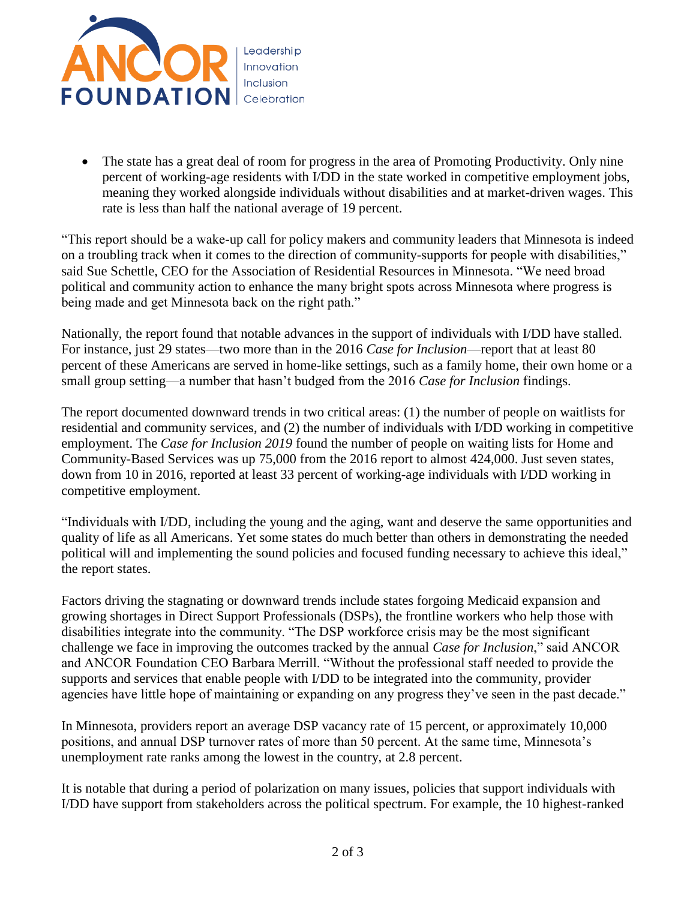

• The state has a great deal of room for progress in the area of Promoting Productivity. Only nine percent of working-age residents with I/DD in the state worked in competitive employment jobs, meaning they worked alongside individuals without disabilities and at market-driven wages. This rate is less than half the national average of 19 percent.

"This report should be a wake-up call for policy makers and community leaders that Minnesota is indeed on a troubling track when it comes to the direction of community-supports for people with disabilities," said Sue Schettle, CEO for the Association of Residential Resources in Minnesota. "We need broad political and community action to enhance the many bright spots across Minnesota where progress is being made and get Minnesota back on the right path."

Nationally, the report found that notable advances in the support of individuals with I/DD have stalled. For instance, just 29 states—two more than in the 2016 *Case for Inclusion*—report that at least 80 percent of these Americans are served in home-like settings, such as a family home, their own home or a small group setting—a number that hasn't budged from the 2016 *Case for Inclusion* findings.

The report documented downward trends in two critical areas: (1) the number of people on waitlists for residential and community services, and (2) the number of individuals with I/DD working in competitive employment. The *Case for Inclusion 2019* found the number of people on waiting lists for Home and Community-Based Services was up 75,000 from the 2016 report to almost 424,000. Just seven states, down from 10 in 2016, reported at least 33 percent of working-age individuals with I/DD working in competitive employment.

"Individuals with I/DD, including the young and the aging, want and deserve the same opportunities and quality of life as all Americans. Yet some states do much better than others in demonstrating the needed political will and implementing the sound policies and focused funding necessary to achieve this ideal," the report states.

Factors driving the stagnating or downward trends include states forgoing Medicaid expansion and growing shortages in Direct Support Professionals (DSPs), the frontline workers who help those with disabilities integrate into the community. "The DSP workforce crisis may be the most significant challenge we face in improving the outcomes tracked by the annual *Case for Inclusion*," said ANCOR and ANCOR Foundation CEO Barbara Merrill. "Without the professional staff needed to provide the supports and services that enable people with I/DD to be integrated into the community, provider agencies have little hope of maintaining or expanding on any progress they've seen in the past decade."

In Minnesota, providers report an average DSP vacancy rate of 15 percent, or approximately 10,000 positions, and annual DSP turnover rates of more than 50 percent. At the same time, Minnesota's unemployment rate ranks among the lowest in the country, at 2.8 percent.

It is notable that during a period of polarization on many issues, policies that support individuals with I/DD have support from stakeholders across the political spectrum. For example, the 10 highest-ranked